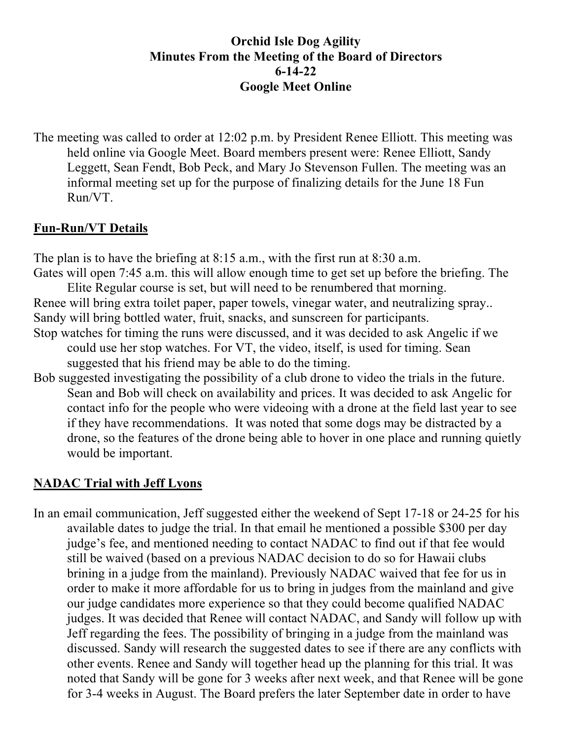## **Orchid Isle Dog Agility Minutes From the Meeting of the Board of Directors 6-14-22 Google Meet Online**

The meeting was called to order at 12:02 p.m. by President Renee Elliott. This meeting was held online via Google Meet. Board members present were: Renee Elliott, Sandy Leggett, Sean Fendt, Bob Peck, and Mary Jo Stevenson Fullen. The meeting was an informal meeting set up for the purpose of finalizing details for the June 18 Fun Run/VT.

### **Fun-Run/VT Details**

The plan is to have the briefing at 8:15 a.m., with the first run at 8:30 a.m. Gates will open 7:45 a.m. this will allow enough time to get set up before the briefing. The

Elite Regular course is set, but will need to be renumbered that morning. Renee will bring extra toilet paper, paper towels, vinegar water, and neutralizing spray.. Sandy will bring bottled water, fruit, snacks, and sunscreen for participants.

Stop watches for timing the runs were discussed, and it was decided to ask Angelic if we could use her stop watches. For VT, the video, itself, is used for timing. Sean suggested that his friend may be able to do the timing.

Bob suggested investigating the possibility of a club drone to video the trials in the future. Sean and Bob will check on availability and prices. It was decided to ask Angelic for contact info for the people who were videoing with a drone at the field last year to see if they have recommendations. It was noted that some dogs may be distracted by a drone, so the features of the drone being able to hover in one place and running quietly would be important.

### **NADAC Trial with Jeff Lyons**

In an email communication, Jeff suggested either the weekend of Sept 17-18 or 24-25 for his available dates to judge the trial. In that email he mentioned a possible \$300 per day judge's fee, and mentioned needing to contact NADAC to find out if that fee would still be waived (based on a previous NADAC decision to do so for Hawaii clubs brining in a judge from the mainland). Previously NADAC waived that fee for us in order to make it more affordable for us to bring in judges from the mainland and give our judge candidates more experience so that they could become qualified NADAC judges. It was decided that Renee will contact NADAC, and Sandy will follow up with Jeff regarding the fees. The possibility of bringing in a judge from the mainland was discussed. Sandy will research the suggested dates to see if there are any conflicts with other events. Renee and Sandy will together head up the planning for this trial. It was noted that Sandy will be gone for 3 weeks after next week, and that Renee will be gone for 3-4 weeks in August. The Board prefers the later September date in order to have